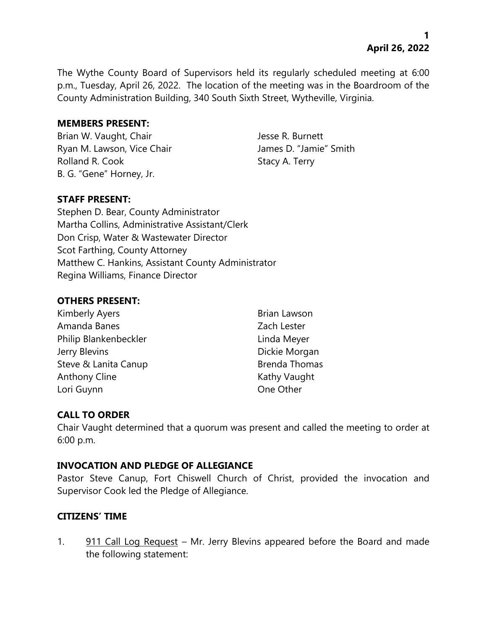The Wythe County Board of Supervisors held its regularly scheduled meeting at 6:00 p.m., Tuesday, April 26, 2022. The location of the meeting was in the Boardroom of the County Administration Building, 340 South Sixth Street, Wytheville, Virginia.

#### **MEMBERS PRESENT:**

Brian W. Vaught, Chair Jesse R. Burnett Ryan M. Lawson, Vice Chair **James D. "Jamie"** Smith Rolland R. Cook Stacy A. Terry B. G. "Gene" Horney, Jr.

# **STAFF PRESENT:**

Stephen D. Bear, County Administrator Martha Collins, Administrative Assistant/Clerk Don Crisp, Water & Wastewater Director Scot Farthing, County Attorney Matthew C. Hankins, Assistant County Administrator Regina Williams, Finance Director

# **OTHERS PRESENT:**

Kimberly Ayers **Brian Lawson** Amanda Banes **Zach Lester** Philip Blankenbeckler Linda Meyer Jerry Blevins **Dickie Morgan** Steve & Lanita Canup Brenda Thomas Anthony Cline **Kathy Vaught** Kathy Vaught Lori Guynn **Communist Communist Communist Communist Communist Communist Communist Communist Communist Communist Communist Communist Communist Communist Communist Communist Communist Communist Communist Communist Communist** 

# **CALL TO ORDER**

Chair Vaught determined that a quorum was present and called the meeting to order at 6:00 p.m.

# **INVOCATION AND PLEDGE OF ALLEGIANCE**

Pastor Steve Canup, Fort Chiswell Church of Christ, provided the invocation and Supervisor Cook led the Pledge of Allegiance.

# **CITIZENS' TIME**

1. 911 Call Log Request – Mr. Jerry Blevins appeared before the Board and made the following statement: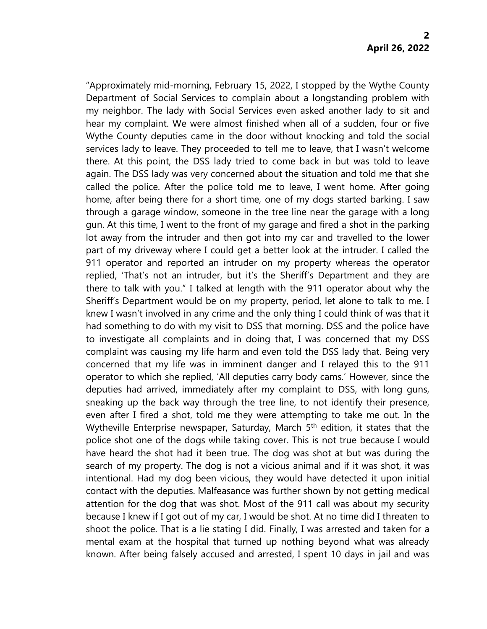"Approximately mid-morning, February 15, 2022, I stopped by the Wythe County Department of Social Services to complain about a longstanding problem with my neighbor. The lady with Social Services even asked another lady to sit and hear my complaint. We were almost finished when all of a sudden, four or five Wythe County deputies came in the door without knocking and told the social services lady to leave. They proceeded to tell me to leave, that I wasn't welcome there. At this point, the DSS lady tried to come back in but was told to leave again. The DSS lady was very concerned about the situation and told me that she called the police. After the police told me to leave, I went home. After going home, after being there for a short time, one of my dogs started barking. I saw through a garage window, someone in the tree line near the garage with a long gun. At this time, I went to the front of my garage and fired a shot in the parking lot away from the intruder and then got into my car and travelled to the lower part of my driveway where I could get a better look at the intruder. I called the 911 operator and reported an intruder on my property whereas the operator replied, 'That's not an intruder, but it's the Sheriff's Department and they are there to talk with you." I talked at length with the 911 operator about why the Sheriff's Department would be on my property, period, let alone to talk to me. I knew I wasn't involved in any crime and the only thing I could think of was that it had something to do with my visit to DSS that morning. DSS and the police have to investigate all complaints and in doing that, I was concerned that my DSS complaint was causing my life harm and even told the DSS lady that. Being very concerned that my life was in imminent danger and I relayed this to the 911 operator to which she replied, 'All deputies carry body cams.' However, since the deputies had arrived, immediately after my complaint to DSS, with long guns, sneaking up the back way through the tree line, to not identify their presence, even after I fired a shot, told me they were attempting to take me out. In the Wytheville Enterprise newspaper, Saturday, March 5<sup>th</sup> edition, it states that the police shot one of the dogs while taking cover. This is not true because I would have heard the shot had it been true. The dog was shot at but was during the search of my property. The dog is not a vicious animal and if it was shot, it was intentional. Had my dog been vicious, they would have detected it upon initial contact with the deputies. Malfeasance was further shown by not getting medical attention for the dog that was shot. Most of the 911 call was about my security because I knew if I got out of my car, I would be shot. At no time did I threaten to shoot the police. That is a lie stating I did. Finally, I was arrested and taken for a mental exam at the hospital that turned up nothing beyond what was already known. After being falsely accused and arrested, I spent 10 days in jail and was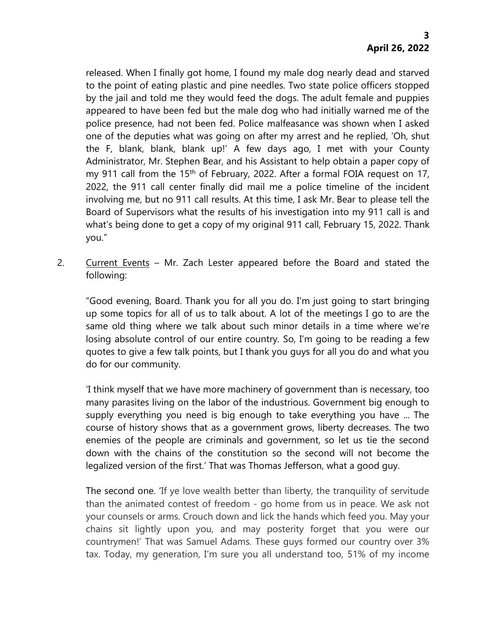released. When I finally got home, I found my male dog nearly dead and starved to the point of eating plastic and pine needles. Two state police officers stopped by the jail and told me they would feed the dogs. The adult female and puppies appeared to have been fed but the male dog who had initially warned me of the police presence, had not been fed. Police malfeasance was shown when I asked one of the deputies what was going on after my arrest and he replied, 'Oh, shut the F, blank, blank, blank up!' A few days ago, I met with your County Administrator, Mr. Stephen Bear, and his Assistant to help obtain a paper copy of my 911 call from the 15<sup>th</sup> of February, 2022. After a formal FOIA request on 17, 2022, the 911 call center finally did mail me a police timeline of the incident involving me, but no 911 call results. At this time, I ask Mr. Bear to please tell the Board of Supervisors what the results of his investigation into my 911 call is and what's being done to get a copy of my original 911 call, February 15, 2022. Thank you."

2. Current Events - Mr. Zach Lester appeared before the Board and stated the following:

"Good evening, Board. Thank you for all you do. I'm just going to start bringing up some topics for all of us to talk about. A lot of the meetings I go to are the same old thing where we talk about such minor details in a time where we're losing absolute control of our entire country. So, I'm going to be reading a few quotes to give a few talk points, but I thank you guys for all you do and what you do for our community.

'I think myself that we have more machinery of government than is necessary, too many parasites living on the labor of the industrious. Government big enough to supply everything you need is big enough to take everything you have ... The course of history shows that as a government grows, liberty decreases. The two enemies of the people are criminals and government, so let us tie the second down with the chains of the constitution so the second will not become the legalized version of the first.' That was Thomas Jefferson, what a good guy.

The second one. 'If ye love wealth better than liberty, the tranquility of servitude than the animated contest of freedom - go home from us in peace. We ask not your counsels or arms. Crouch down and lick the hands which feed you. May your chains sit lightly upon you, and may posterity forget that you were our countrymen!' That was Samuel Adams. These guys formed our country over 3% tax. Today, my generation, I'm sure you all understand too, 51% of my income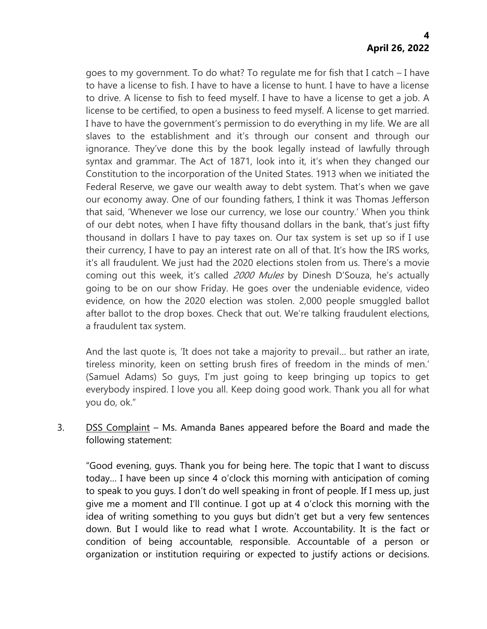goes to my government. To do what? To regulate me for fish that I catch – I have to have a license to fish. I have to have a license to hunt. I have to have a license to drive. A license to fish to feed myself. I have to have a license to get a job. A license to be certified, to open a business to feed myself. A license to get married. I have to have the government's permission to do everything in my life. We are all slaves to the establishment and it's through our consent and through our ignorance. They've done this by the book legally instead of lawfully through syntax and grammar. The Act of 1871, look into it, it's when they changed our Constitution to the incorporation of the United States. 1913 when we initiated the Federal Reserve, we gave our wealth away to debt system. That's when we gave our economy away. One of our founding fathers, I think it was Thomas Jefferson that said, 'Whenever we lose our currency, we lose our country.' When you think of our debt notes, when I have fifty thousand dollars in the bank, that's just fifty thousand in dollars I have to pay taxes on. Our tax system is set up so if I use their currency, I have to pay an interest rate on all of that. It's how the IRS works, it's all fraudulent. We just had the 2020 elections stolen from us. There's a movie coming out this week, it's called 2000 Mules by Dinesh D'Souza, he's actually going to be on our show Friday. He goes over the undeniable evidence, video evidence, on how the 2020 election was stolen. 2,000 people smuggled ballot after ballot to the drop boxes. Check that out. We're talking fraudulent elections, a fraudulent tax system.

And the last quote is, 'It does not take a majority to prevail… but rather an irate, tireless minority, keen on setting brush fires of freedom in the minds of men.' (Samuel Adams) So guys, I'm just going to keep bringing up topics to get everybody inspired. I love you all. Keep doing good work. Thank you all for what you do, ok."

3. DSS Complaint – Ms. Amanda Banes appeared before the Board and made the following statement:

"Good evening, guys. Thank you for being here. The topic that I want to discuss today… I have been up since 4 o'clock this morning with anticipation of coming to speak to you guys. I don't do well speaking in front of people. If I mess up, just give me a moment and I'll continue. I got up at 4 o'clock this morning with the idea of writing something to you guys but didn't get but a very few sentences down. But I would like to read what I wrote. Accountability. It is the fact or condition of being accountable, responsible. Accountable of a person or organization or institution requiring or expected to justify actions or decisions.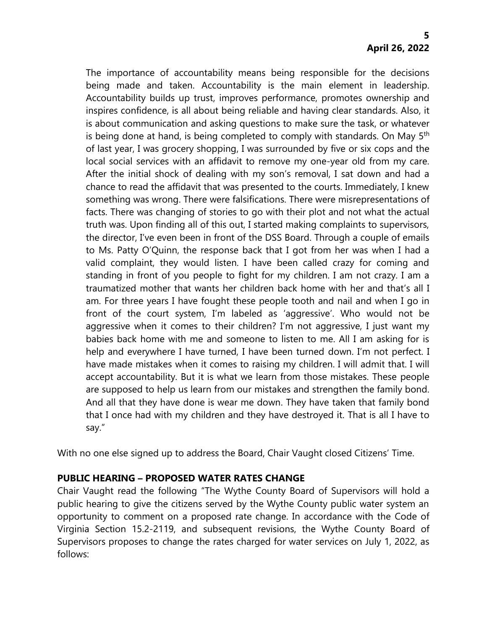The importance of accountability means being responsible for the decisions being made and taken. Accountability is the main element in leadership. Accountability builds up trust, improves performance, promotes ownership and inspires confidence, is all about being reliable and having clear standards. Also, it is about communication and asking questions to make sure the task, or whatever is being done at hand, is being completed to comply with standards. On May 5<sup>th</sup> of last year, I was grocery shopping, I was surrounded by five or six cops and the local social services with an affidavit to remove my one-year old from my care. After the initial shock of dealing with my son's removal, I sat down and had a chance to read the affidavit that was presented to the courts. Immediately, I knew something was wrong. There were falsifications. There were misrepresentations of facts. There was changing of stories to go with their plot and not what the actual truth was. Upon finding all of this out, I started making complaints to supervisors, the director, I've even been in front of the DSS Board. Through a couple of emails to Ms. Patty O'Quinn, the response back that I got from her was when I had a valid complaint, they would listen. I have been called crazy for coming and standing in front of you people to fight for my children. I am not crazy. I am a traumatized mother that wants her children back home with her and that's all I am. For three years I have fought these people tooth and nail and when I go in front of the court system, I'm labeled as 'aggressive'. Who would not be aggressive when it comes to their children? I'm not aggressive, I just want my babies back home with me and someone to listen to me. All I am asking for is help and everywhere I have turned, I have been turned down. I'm not perfect. I have made mistakes when it comes to raising my children. I will admit that. I will accept accountability. But it is what we learn from those mistakes. These people are supposed to help us learn from our mistakes and strengthen the family bond. And all that they have done is wear me down. They have taken that family bond that I once had with my children and they have destroyed it. That is all I have to say."

With no one else signed up to address the Board, Chair Vaught closed Citizens' Time.

# **PUBLIC HEARING – PROPOSED WATER RATES CHANGE**

Chair Vaught read the following "The Wythe County Board of Supervisors will hold a public hearing to give the citizens served by the Wythe County public water system an opportunity to comment on a proposed rate change. In accordance with the Code of Virginia Section 15.2-2119, and subsequent revisions, the Wythe County Board of Supervisors proposes to change the rates charged for water services on July 1, 2022, as follows: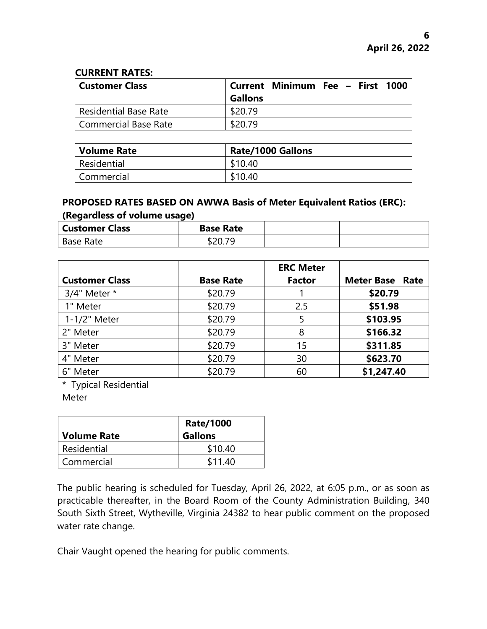#### **CURRENT RATES:**

| <b>Customer Class</b>        | <b>Gallons</b> | Current Minimum Fee – First 1000 |  |  |
|------------------------------|----------------|----------------------------------|--|--|
| <b>Residential Base Rate</b> | \$20.79        |                                  |  |  |
| Commercial Base Rate         | \$20.79        |                                  |  |  |

| Volume Rate | <b>Rate/1000 Gallons</b> |
|-------------|--------------------------|
| Residential | \$10.40                  |
| Commercial  | \$10.40                  |

# **PROPOSED RATES BASED ON AWWA Basis of Meter Equivalent Ratios (ERC): (Regardless of volume usage)**

| <b>Customer Class</b> | <b>Base Rate</b> |  |
|-----------------------|------------------|--|
| Base Rate             | DZU. 1           |  |

|                       |                  | <b>ERC Meter</b> |                        |
|-----------------------|------------------|------------------|------------------------|
| <b>Customer Class</b> | <b>Base Rate</b> | <b>Factor</b>    | <b>Meter Base Rate</b> |
| 3/4" Meter *          | \$20.79          |                  | \$20.79                |
| 1" Meter              | \$20.79          | 2.5              | \$51.98                |
| 1-1/2" Meter          | \$20.79          |                  | \$103.95               |
| 2" Meter              | \$20.79          | 8                | \$166.32               |
| 3" Meter              | \$20.79          | 15               | \$311.85               |
| 4" Meter              | \$20.79          | 30               | \$623.70               |
| 6" Meter              | \$20.79          | 60               | \$1,247.40             |

\* Typical Residential

Meter

| <b>Volume Rate</b> | <b>Rate/1000</b><br><b>Gallons</b> |
|--------------------|------------------------------------|
| Residential        | \$10.40                            |
| Commercial         | \$11.40                            |

The public hearing is scheduled for Tuesday, April 26, 2022, at 6:05 p.m., or as soon as practicable thereafter, in the Board Room of the County Administration Building, 340 South Sixth Street, Wytheville, Virginia 24382 to hear public comment on the proposed water rate change.

Chair Vaught opened the hearing for public comments.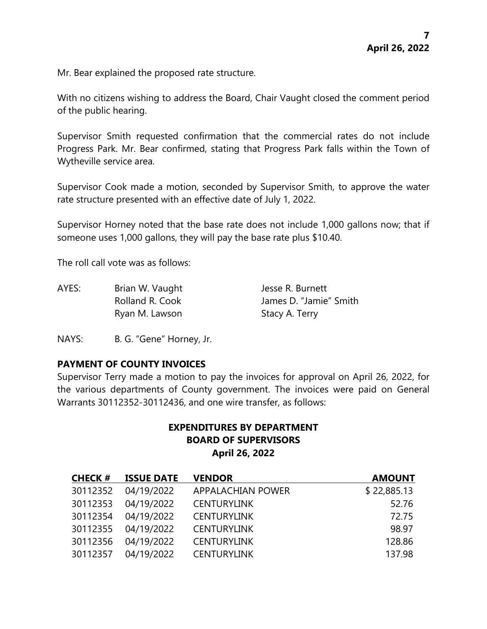Mr. Bear explained the proposed rate structure.

With no citizens wishing to address the Board, Chair Vaught closed the comment period of the public hearing.

Supervisor Smith requested confirmation that the commercial rates do not include Progress Park. Mr. Bear confirmed, stating that Progress Park falls within the Town of Wytheville service area.

Supervisor Cook made a motion, seconded by Supervisor Smith, to approve the water rate structure presented with an effective date of July 1, 2022.

Supervisor Horney noted that the base rate does not include 1,000 gallons now; that if someone uses 1,000 gallons, they will pay the base rate plus \$10.40.

The roll call vote was as follows:

AYES: Brian W. Vaught Jesse R. Burnett Rolland R. Cook James D. "Jamie" Smith Ryan M. Lawson Stacy A. Terry

NAYS: B. G. "Gene" Horney, Jr.

# **PAYMENT OF COUNTY INVOICES**

Supervisor Terry made a motion to pay the invoices for approval on April 26, 2022, for the various departments of County government. The invoices were paid on General Warrants 30112352-30112436, and one wire transfer, as follows:

# **EXPENDITURES BY DEPARTMENT BOARD OF SUPERVISORS April 26, 2022**

| <b>CHECK#</b> | <b>ISSUE DATE</b> | <b>VENDOR</b>      | <b>AMOUNT</b> |
|---------------|-------------------|--------------------|---------------|
| 30112352      | 04/19/2022        | APPALACHIAN POWER  | \$22,885.13   |
| 30112353      | 04/19/2022        | <b>CENTURYLINK</b> | 52.76         |
| 30112354      | 04/19/2022        | <b>CENTURYLINK</b> | 72.75         |
| 30112355      | 04/19/2022        | <b>CENTURYLINK</b> | 98.97         |
| 30112356      | 04/19/2022        | <b>CENTURYLINK</b> | 128.86        |
| 30112357      | 04/19/2022        | <b>CENTURYLINK</b> | 137.98        |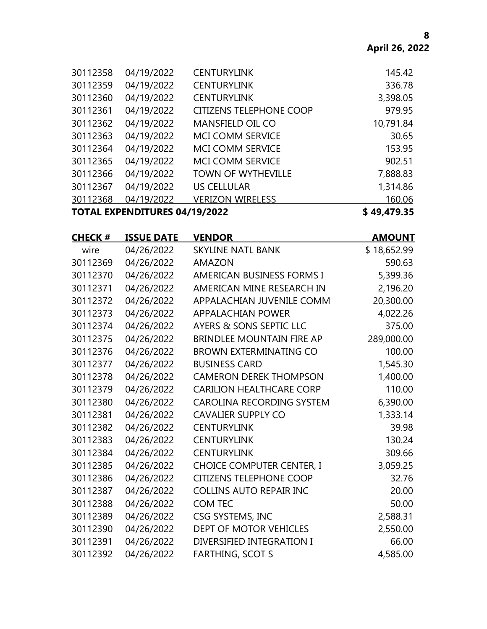|          |            |                                | \$49,479.35                          |
|----------|------------|--------------------------------|--------------------------------------|
| 30112368 | 04/19/2022 | <b>VERIZON WIRELESS</b>        | 160.06                               |
| 30112367 | 04/19/2022 | <b>US CELLULAR</b>             | 1,314.86                             |
| 30112366 | 04/19/2022 | <b>TOWN OF WYTHEVILLE</b>      | 7,888.83                             |
| 30112365 | 04/19/2022 | <b>MCI COMM SERVICE</b>        | 902.51                               |
| 30112364 | 04/19/2022 | <b>MCI COMM SERVICE</b>        | 153.95                               |
| 30112363 | 04/19/2022 | <b>MCI COMM SERVICE</b>        | 30.65                                |
| 30112362 | 04/19/2022 | <b>MANSFIELD OIL CO</b>        | 10,791.84                            |
| 30112361 | 04/19/2022 | <b>CITIZENS TELEPHONE COOP</b> | 979.95                               |
| 30112360 | 04/19/2022 | <b>CENTURYLINK</b>             | 3,398.05                             |
| 30112359 | 04/19/2022 | <b>CENTURYLINK</b>             | 336.78                               |
| 30112358 | 04/19/2022 | <b>CENTURYLINK</b>             | 145.42                               |
|          |            |                                | <b>TOTAL EXPENDITURES 04/19/2022</b> |

| <b>CHECK#</b> | <b>ISSUE DATE</b> | <b>VENDOR</b>                    | <b>AMOUNT</b> |
|---------------|-------------------|----------------------------------|---------------|
| wire          | 04/26/2022        | <b>SKYLINE NATL BANK</b>         | \$18,652.99   |
| 30112369      | 04/26/2022        | <b>AMAZON</b>                    | 590.63        |
| 30112370      | 04/26/2022        | <b>AMERICAN BUSINESS FORMS I</b> | 5,399.36      |
| 30112371      | 04/26/2022        | AMERICAN MINE RESEARCH IN        | 2,196.20      |
| 30112372      | 04/26/2022        | APPALACHIAN JUVENILE COMM        | 20,300.00     |
| 30112373      | 04/26/2022        | <b>APPALACHIAN POWER</b>         | 4,022.26      |
| 30112374      | 04/26/2022        | AYERS & SONS SEPTIC LLC          | 375.00        |
| 30112375      | 04/26/2022        | <b>BRINDLEE MOUNTAIN FIRE AP</b> | 289,000.00    |
| 30112376      | 04/26/2022        | <b>BROWN EXTERMINATING CO</b>    | 100.00        |
| 30112377      | 04/26/2022        | <b>BUSINESS CARD</b>             | 1,545.30      |
| 30112378      | 04/26/2022        | <b>CAMERON DEREK THOMPSON</b>    | 1,400.00      |
| 30112379      | 04/26/2022        | <b>CARILION HEALTHCARE CORP</b>  | 110.00        |
| 30112380      | 04/26/2022        | <b>CAROLINA RECORDING SYSTEM</b> | 6,390.00      |
| 30112381      | 04/26/2022        | <b>CAVALIER SUPPLY CO</b>        | 1,333.14      |
| 30112382      | 04/26/2022        | <b>CENTURYLINK</b>               | 39.98         |
| 30112383      | 04/26/2022        | <b>CENTURYLINK</b>               | 130.24        |
| 30112384      | 04/26/2022        | <b>CENTURYLINK</b>               | 309.66        |
| 30112385      | 04/26/2022        | <b>CHOICE COMPUTER CENTER, I</b> | 3,059.25      |
| 30112386      | 04/26/2022        | <b>CITIZENS TELEPHONE COOP</b>   | 32.76         |
| 30112387      | 04/26/2022        | <b>COLLINS AUTO REPAIR INC</b>   | 20.00         |
| 30112388      | 04/26/2022        | <b>COM TEC</b>                   | 50.00         |
| 30112389      | 04/26/2022        | CSG SYSTEMS, INC                 | 2,588.31      |
| 30112390      | 04/26/2022        | DEPT OF MOTOR VEHICLES           | 2,550.00      |
| 30112391      | 04/26/2022        | DIVERSIFIED INTEGRATION I        | 66.00         |
| 30112392      | 04/26/2022        | <b>FARTHING, SCOT S</b>          | 4,585.00      |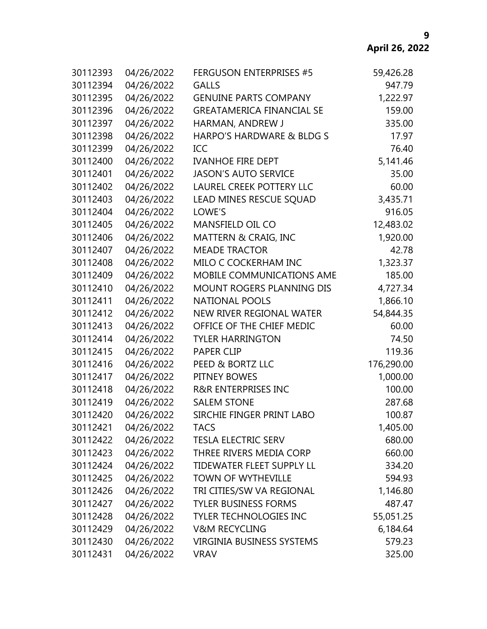| 30112393 | 04/26/2022 | <b>FERGUSON ENTERPRISES #5</b>   | 59,426.28  |
|----------|------------|----------------------------------|------------|
| 30112394 | 04/26/2022 | <b>GALLS</b>                     | 947.79     |
| 30112395 | 04/26/2022 | <b>GENUINE PARTS COMPANY</b>     | 1,222.97   |
| 30112396 | 04/26/2022 | <b>GREATAMERICA FINANCIAL SE</b> | 159.00     |
| 30112397 | 04/26/2022 | HARMAN, ANDREW J                 | 335.00     |
| 30112398 | 04/26/2022 | HARPO'S HARDWARE & BLDG S        | 17.97      |
| 30112399 | 04/26/2022 | ICC                              | 76.40      |
| 30112400 | 04/26/2022 | <b>IVANHOE FIRE DEPT</b>         | 5,141.46   |
| 30112401 | 04/26/2022 | <b>JASON'S AUTO SERVICE</b>      | 35.00      |
| 30112402 | 04/26/2022 | <b>LAUREL CREEK POTTERY LLC</b>  | 60.00      |
| 30112403 | 04/26/2022 | LEAD MINES RESCUE SQUAD          | 3,435.71   |
| 30112404 | 04/26/2022 | LOWE'S                           | 916.05     |
| 30112405 | 04/26/2022 | MANSFIELD OIL CO                 | 12,483.02  |
| 30112406 | 04/26/2022 | MATTERN & CRAIG, INC             | 1,920.00   |
| 30112407 | 04/26/2022 | <b>MEADE TRACTOR</b>             | 42.78      |
| 30112408 | 04/26/2022 | MILO C COCKERHAM INC             | 1,323.37   |
| 30112409 | 04/26/2022 | MOBILE COMMUNICATIONS AME        | 185.00     |
| 30112410 | 04/26/2022 | MOUNT ROGERS PLANNING DIS        | 4,727.34   |
| 30112411 | 04/26/2022 | <b>NATIONAL POOLS</b>            | 1,866.10   |
| 30112412 | 04/26/2022 | NEW RIVER REGIONAL WATER         | 54,844.35  |
| 30112413 | 04/26/2022 | OFFICE OF THE CHIEF MEDIC        | 60.00      |
| 30112414 | 04/26/2022 | <b>TYLER HARRINGTON</b>          | 74.50      |
| 30112415 | 04/26/2022 | <b>PAPER CLIP</b>                | 119.36     |
| 30112416 | 04/26/2022 | PEED & BORTZ LLC                 | 176,290.00 |
| 30112417 | 04/26/2022 | PITNEY BOWES                     | 1,000.00   |
| 30112418 | 04/26/2022 | <b>R&amp;R ENTERPRISES INC</b>   | 100.00     |
| 30112419 | 04/26/2022 | <b>SALEM STONE</b>               | 287.68     |
| 30112420 | 04/26/2022 | SIRCHIE FINGER PRINT LABO        | 100.87     |
| 30112421 | 04/26/2022 | <b>TACS</b>                      | 1,405.00   |
| 30112422 | 04/26/2022 | <b>TESLA ELECTRIC SERV</b>       | 680.00     |
| 30112423 | 04/26/2022 | THREE RIVERS MEDIA CORP          | 660.00     |
| 30112424 | 04/26/2022 | TIDEWATER FLEET SUPPLY LL        | 334.20     |
| 30112425 | 04/26/2022 | TOWN OF WYTHEVILLE               | 594.93     |
| 30112426 | 04/26/2022 | TRI CITIES/SW VA REGIONAL        | 1,146.80   |
| 30112427 | 04/26/2022 | <b>TYLER BUSINESS FORMS</b>      | 487.47     |
| 30112428 | 04/26/2022 | <b>TYLER TECHNOLOGIES INC</b>    | 55,051.25  |
| 30112429 | 04/26/2022 | <b>V&amp;M RECYCLING</b>         | 6,184.64   |
| 30112430 | 04/26/2022 | <b>VIRGINIA BUSINESS SYSTEMS</b> | 579.23     |
| 30112431 | 04/26/2022 | <b>VRAV</b>                      | 325.00     |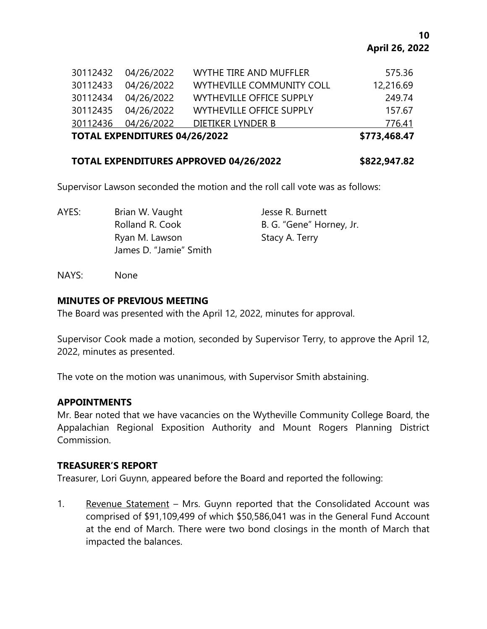|          | <b>TOTAL EXPENDITURES 04/26/2022</b> |                                 | \$773,468.47 |
|----------|--------------------------------------|---------------------------------|--------------|
|          | 30112436 04/26/2022                  | DIETIKER LYNDER B               | 776.41       |
|          | 30112435 04/26/2022                  | <b>WYTHEVILLE OFFICE SUPPLY</b> | 157.67       |
|          | 30112434 04/26/2022                  | <b>WYTHEVILLE OFFICE SUPPLY</b> | 249.74       |
| 30112433 | 04/26/2022                           | WYTHEVILLE COMMUNITY COLL       | 12,216.69    |
|          | 30112432 04/26/2022                  | WYTHE TIRE AND MUFFLER          | 575.36       |

#### **TOTAL EXPENDITURES APPROVED 04/26/2022 \$822,947.82**

Supervisor Lawson seconded the motion and the roll call vote was as follows:

AYES: Brian W. Vaught Jesse R. Burnett Rolland R. Cook B. G. "Gene" Horney, Jr. Ryan M. Lawson Stacy A. Terry James D. "Jamie" Smith

NAYS: None

#### **MINUTES OF PREVIOUS MEETING**

The Board was presented with the April 12, 2022, minutes for approval.

Supervisor Cook made a motion, seconded by Supervisor Terry, to approve the April 12, 2022, minutes as presented.

The vote on the motion was unanimous, with Supervisor Smith abstaining.

#### **APPOINTMENTS**

Mr. Bear noted that we have vacancies on the Wytheville Community College Board, the Appalachian Regional Exposition Authority and Mount Rogers Planning District Commission.

#### **TREASURER'S REPORT**

Treasurer, Lori Guynn, appeared before the Board and reported the following:

1. Revenue Statement – Mrs. Guynn reported that the Consolidated Account was comprised of \$91,109,499 of which \$50,586,041 was in the General Fund Account at the end of March. There were two bond closings in the month of March that impacted the balances.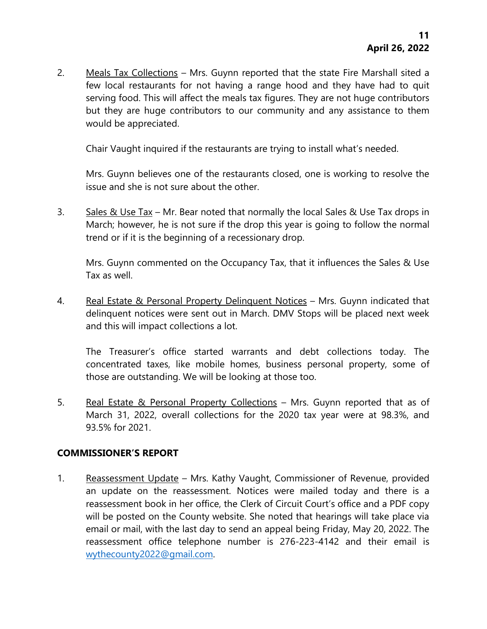2. Meals Tax Collections - Mrs. Guynn reported that the state Fire Marshall sited a few local restaurants for not having a range hood and they have had to quit serving food. This will affect the meals tax figures. They are not huge contributors but they are huge contributors to our community and any assistance to them would be appreciated.

Chair Vaught inquired if the restaurants are trying to install what's needed.

Mrs. Guynn believes one of the restaurants closed, one is working to resolve the issue and she is not sure about the other.

3. Sales & Use Tax – Mr. Bear noted that normally the local Sales & Use Tax drops in March; however, he is not sure if the drop this year is going to follow the normal trend or if it is the beginning of a recessionary drop.

Mrs. Guynn commented on the Occupancy Tax, that it influences the Sales & Use Tax as well.

4. Real Estate & Personal Property Delinquent Notices – Mrs. Guynn indicated that delinquent notices were sent out in March. DMV Stops will be placed next week and this will impact collections a lot.

The Treasurer's office started warrants and debt collections today. The concentrated taxes, like mobile homes, business personal property, some of those are outstanding. We will be looking at those too.

5. Real Estate & Personal Property Collections – Mrs. Guynn reported that as of March 31, 2022, overall collections for the 2020 tax year were at 98.3%, and 93.5% for 2021.

# **COMMISSIONER'S REPORT**

1. Reassessment Update – Mrs. Kathy Vaught, Commissioner of Revenue, provided an update on the reassessment. Notices were mailed today and there is a reassessment book in her office, the Clerk of Circuit Court's office and a PDF copy will be posted on the County website. She noted that hearings will take place via email or mail, with the last day to send an appeal being Friday, May 20, 2022. The reassessment office telephone number is 276-223-4142 and their email is [wythecounty2022@gmail.com.](mailto:wythecounty2022@gmail.com)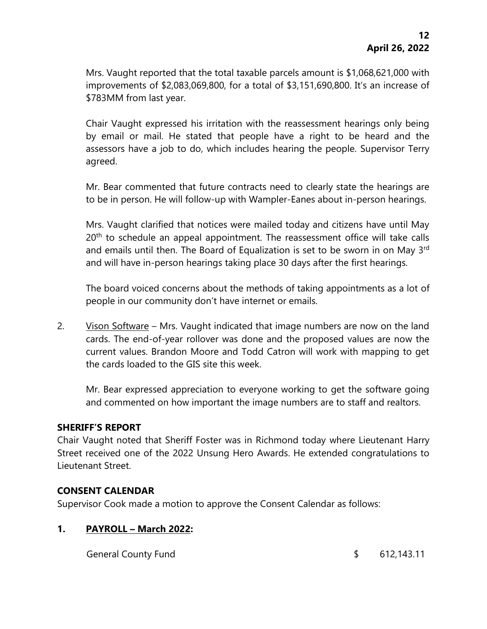Mrs. Vaught reported that the total taxable parcels amount is \$1,068,621,000 with improvements of \$2,083,069,800, for a total of \$3,151,690,800. It's an increase of \$783MM from last year.

Chair Vaught expressed his irritation with the reassessment hearings only being by email or mail. He stated that people have a right to be heard and the assessors have a job to do, which includes hearing the people. Supervisor Terry agreed.

Mr. Bear commented that future contracts need to clearly state the hearings are to be in person. He will follow-up with Wampler-Eanes about in-person hearings.

Mrs. Vaught clarified that notices were mailed today and citizens have until May 20<sup>th</sup> to schedule an appeal appointment. The reassessment office will take calls and emails until then. The Board of Equalization is set to be sworn in on May 3<sup>rd</sup> and will have in-person hearings taking place 30 days after the first hearings.

The board voiced concerns about the methods of taking appointments as a lot of people in our community don't have internet or emails.

2. Vison Software – Mrs. Vaught indicated that image numbers are now on the land cards. The end-of-year rollover was done and the proposed values are now the current values. Brandon Moore and Todd Catron will work with mapping to get the cards loaded to the GIS site this week.

Mr. Bear expressed appreciation to everyone working to get the software going and commented on how important the image numbers are to staff and realtors.

#### **SHERIFF'S REPORT**

Chair Vaught noted that Sheriff Foster was in Richmond today where Lieutenant Harry Street received one of the 2022 Unsung Hero Awards. He extended congratulations to Lieutenant Street.

# **CONSENT CALENDAR**

Supervisor Cook made a motion to approve the Consent Calendar as follows:

# **1. PAYROLL – March 2022:**

General County Fund 5 612,143.11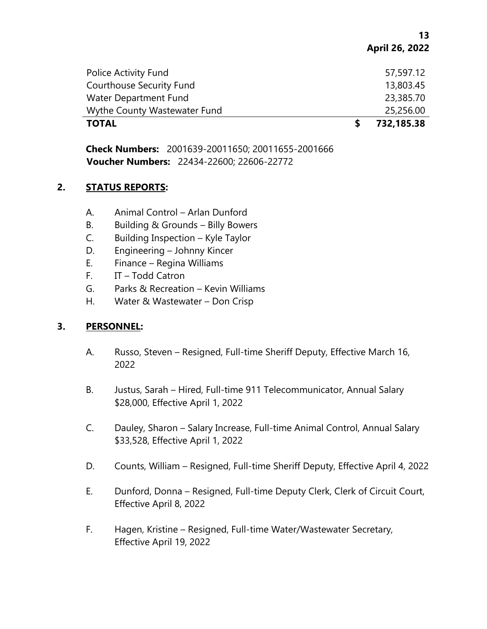**13 April 26, 2022**

| <b>TOTAL</b>                    | 732,185.38 |
|---------------------------------|------------|
| Wythe County Wastewater Fund    | 25,256.00  |
| Water Department Fund           | 23,385.70  |
| <b>Courthouse Security Fund</b> | 13,803.45  |
| Police Activity Fund            | 57,597.12  |
|                                 |            |

**Check Numbers:** 2001639-20011650; 20011655-2001666 **Voucher Numbers:** 22434-22600; 22606-22772

#### **2. STATUS REPORTS:**

- A. Animal Control Arlan Dunford
- B. Building & Grounds Billy Bowers
- C. Building Inspection Kyle Taylor
- D. Engineering Johnny Kincer
- E. Finance Regina Williams
- F. IT Todd Catron
- G. Parks & Recreation Kevin Williams
- H. Water & Wastewater Don Crisp

# **3. PERSONNEL:**

- A. Russo, Steven Resigned, Full-time Sheriff Deputy, Effective March 16, 2022
- B. Justus, Sarah Hired, Full-time 911 Telecommunicator, Annual Salary \$28,000, Effective April 1, 2022
- C. Dauley, Sharon Salary Increase, Full-time Animal Control, Annual Salary \$33,528, Effective April 1, 2022
- D. Counts, William Resigned, Full-time Sheriff Deputy, Effective April 4, 2022
- E. Dunford, Donna Resigned, Full-time Deputy Clerk, Clerk of Circuit Court, Effective April 8, 2022
- F. Hagen, Kristine Resigned, Full-time Water/Wastewater Secretary, Effective April 19, 2022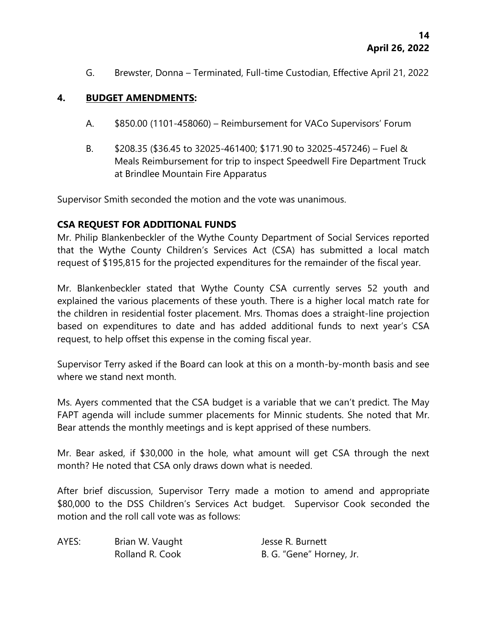G. Brewster, Donna – Terminated, Full-time Custodian, Effective April 21, 2022

# **4. BUDGET AMENDMENTS:**

- A. \$850.00 (1101-458060) Reimbursement for VACo Supervisors' Forum
- B. \$208.35 (\$36.45 to 32025-461400; \$171.90 to 32025-457246) Fuel & Meals Reimbursement for trip to inspect Speedwell Fire Department Truck at Brindlee Mountain Fire Apparatus

Supervisor Smith seconded the motion and the vote was unanimous.

# **CSA REQUEST FOR ADDITIONAL FUNDS**

Mr. Philip Blankenbeckler of the Wythe County Department of Social Services reported that the Wythe County Children's Services Act (CSA) has submitted a local match request of \$195,815 for the projected expenditures for the remainder of the fiscal year.

Mr. Blankenbeckler stated that Wythe County CSA currently serves 52 youth and explained the various placements of these youth. There is a higher local match rate for the children in residential foster placement. Mrs. Thomas does a straight-line projection based on expenditures to date and has added additional funds to next year's CSA request, to help offset this expense in the coming fiscal year.

Supervisor Terry asked if the Board can look at this on a month-by-month basis and see where we stand next month.

Ms. Ayers commented that the CSA budget is a variable that we can't predict. The May FAPT agenda will include summer placements for Minnic students. She noted that Mr. Bear attends the monthly meetings and is kept apprised of these numbers.

Mr. Bear asked, if \$30,000 in the hole, what amount will get CSA through the next month? He noted that CSA only draws down what is needed.

After brief discussion, Supervisor Terry made a motion to amend and appropriate \$80,000 to the DSS Children's Services Act budget. Supervisor Cook seconded the motion and the roll call vote was as follows:

| AYES: | Brian W. Vaught | Jesse R. Burnett         |
|-------|-----------------|--------------------------|
|       | Rolland R. Cook | B. G. "Gene" Horney, Jr. |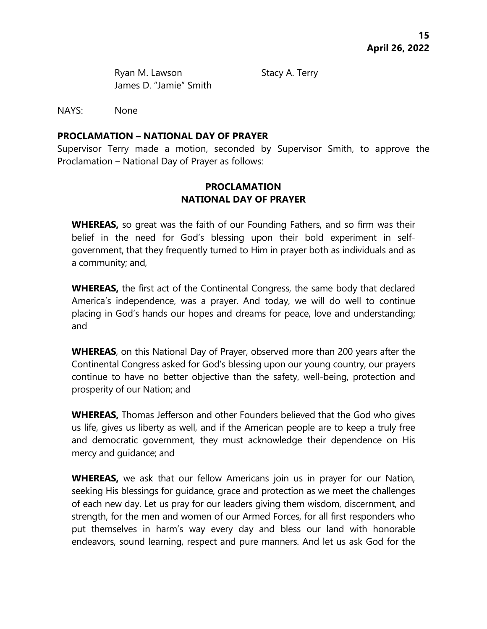Ryan M. Lawson Stacy A. Terry James D. "Jamie" Smith

NAYS: None

#### **PROCLAMATION – NATIONAL DAY OF PRAYER**

Supervisor Terry made a motion, seconded by Supervisor Smith, to approve the Proclamation – National Day of Prayer as follows:

# **PROCLAMATION NATIONAL DAY OF PRAYER**

**WHEREAS,** so great was the faith of our Founding Fathers, and so firm was their belief in the need for God's blessing upon their bold experiment in selfgovernment, that they frequently turned to Him in prayer both as individuals and as a community; and,

**WHEREAS,** the first act of the Continental Congress, the same body that declared America's independence, was a prayer. And today, we will do well to continue placing in God's hands our hopes and dreams for peace, love and understanding; and

**WHEREAS**, on this National Day of Prayer, observed more than 200 years after the Continental Congress asked for God's blessing upon our young country, our prayers continue to have no better objective than the safety, well-being, protection and prosperity of our Nation; and

**WHEREAS,** Thomas Jefferson and other Founders believed that the God who gives us life, gives us liberty as well, and if the American people are to keep a truly free and democratic government, they must acknowledge their dependence on His mercy and guidance; and

**WHEREAS,** we ask that our fellow Americans join us in prayer for our Nation, seeking His blessings for guidance, grace and protection as we meet the challenges of each new day. Let us pray for our leaders giving them wisdom, discernment, and strength, for the men and women of our Armed Forces, for all first responders who put themselves in harm's way every day and bless our land with honorable endeavors, sound learning, respect and pure manners. And let us ask God for the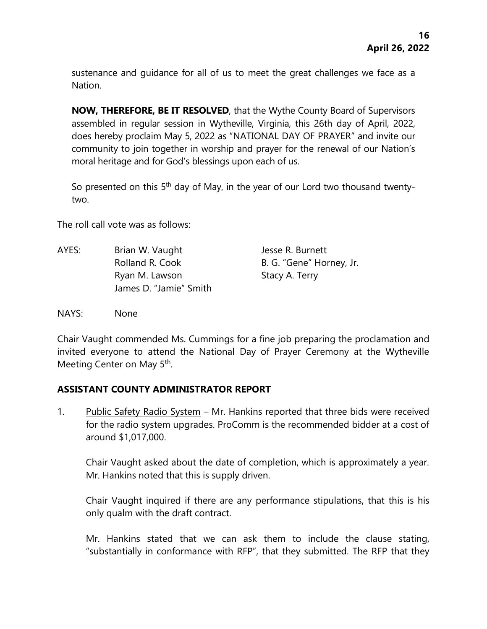sustenance and guidance for all of us to meet the great challenges we face as a Nation.

**NOW, THEREFORE, BE IT RESOLVED**, that the Wythe County Board of Supervisors assembled in regular session in Wytheville, Virginia, this 26th day of April, 2022, does hereby proclaim May 5, 2022 as "NATIONAL DAY OF PRAYER" and invite our community to join together in worship and prayer for the renewal of our Nation's moral heritage and for God's blessings upon each of us.

So presented on this 5<sup>th</sup> day of May, in the year of our Lord two thousand twentytwo.

The roll call vote was as follows:

AYES: Brian W. Vaught Jesse R. Burnett Rolland R. Cook B. G. "Gene" Horney, Jr. Ryan M. Lawson Stacy A. Terry James D. "Jamie" Smith

NAYS: None

Chair Vaught commended Ms. Cummings for a fine job preparing the proclamation and invited everyone to attend the National Day of Prayer Ceremony at the Wytheville Meeting Center on May 5<sup>th</sup>.

# **ASSISTANT COUNTY ADMINISTRATOR REPORT**

1. Public Safety Radio System – Mr. Hankins reported that three bids were received for the radio system upgrades. ProComm is the recommended bidder at a cost of around \$1,017,000.

Chair Vaught asked about the date of completion, which is approximately a year. Mr. Hankins noted that this is supply driven.

Chair Vaught inquired if there are any performance stipulations, that this is his only qualm with the draft contract.

Mr. Hankins stated that we can ask them to include the clause stating, "substantially in conformance with RFP", that they submitted. The RFP that they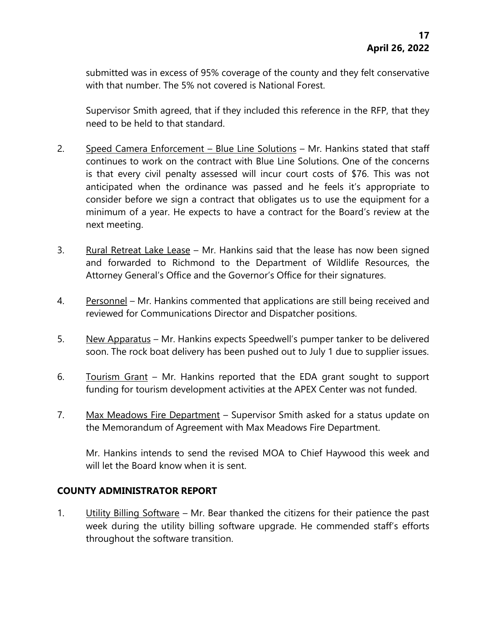submitted was in excess of 95% coverage of the county and they felt conservative with that number. The 5% not covered is National Forest.

Supervisor Smith agreed, that if they included this reference in the RFP, that they need to be held to that standard.

- 2. Speed Camera Enforcement Blue Line Solutions Mr. Hankins stated that staff continues to work on the contract with Blue Line Solutions. One of the concerns is that every civil penalty assessed will incur court costs of \$76. This was not anticipated when the ordinance was passed and he feels it's appropriate to consider before we sign a contract that obligates us to use the equipment for a minimum of a year. He expects to have a contract for the Board's review at the next meeting.
- 3. Rural Retreat Lake Lease Mr. Hankins said that the lease has now been signed and forwarded to Richmond to the Department of Wildlife Resources, the Attorney General's Office and the Governor's Office for their signatures.
- 4. Personnel Mr. Hankins commented that applications are still being received and reviewed for Communications Director and Dispatcher positions.
- 5. New Apparatus Mr. Hankins expects Speedwell's pumper tanker to be delivered soon. The rock boat delivery has been pushed out to July 1 due to supplier issues.
- 6. Tourism Grant Mr. Hankins reported that the EDA grant sought to support funding for tourism development activities at the APEX Center was not funded.
- 7. Max Meadows Fire Department Supervisor Smith asked for a status update on the Memorandum of Agreement with Max Meadows Fire Department.

Mr. Hankins intends to send the revised MOA to Chief Haywood this week and will let the Board know when it is sent.

# **COUNTY ADMINISTRATOR REPORT**

1. Utility Billing Software – Mr. Bear thanked the citizens for their patience the past week during the utility billing software upgrade. He commended staff's efforts throughout the software transition.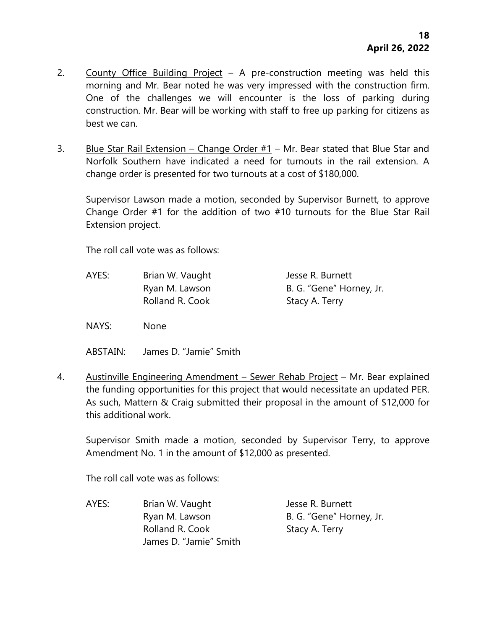- 2. County Office Building Project A pre-construction meeting was held this morning and Mr. Bear noted he was very impressed with the construction firm. One of the challenges we will encounter is the loss of parking during construction. Mr. Bear will be working with staff to free up parking for citizens as best we can.
- 3. Blue Star Rail Extension Change Order  $#1$  Mr. Bear stated that Blue Star and Norfolk Southern have indicated a need for turnouts in the rail extension. A change order is presented for two turnouts at a cost of \$180,000.

Supervisor Lawson made a motion, seconded by Supervisor Burnett, to approve Change Order #1 for the addition of two #10 turnouts for the Blue Star Rail Extension project.

The roll call vote was as follows:

AYES: Brian W. Vaught Jesse R. Burnett Ryan M. Lawson B. G. "Gene" Horney, Jr. Rolland R. Cook Stacy A. Terry

NAYS: None

ABSTAIN: James D. "Jamie" Smith

4. Austinville Engineering Amendment – Sewer Rehab Project – Mr. Bear explained the funding opportunities for this project that would necessitate an updated PER. As such, Mattern & Craig submitted their proposal in the amount of \$12,000 for this additional work.

Supervisor Smith made a motion, seconded by Supervisor Terry, to approve Amendment No. 1 in the amount of \$12,000 as presented.

The roll call vote was as follows:

AYES: Brian W. Vaught Jesse R. Burnett Ryan M. Lawson B. G. "Gene" Horney, Jr. Rolland R. Cook Stacy A. Terry James D. "Jamie" Smith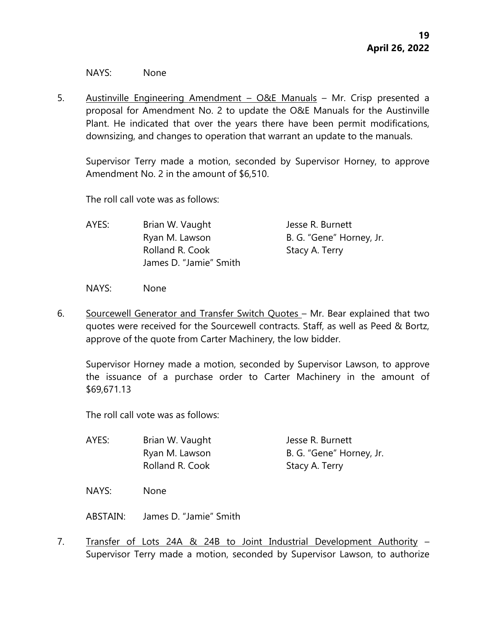NAYS: None

5. Austinville Engineering Amendment – O&E Manuals – Mr. Crisp presented a proposal for Amendment No. 2 to update the O&E Manuals for the Austinville Plant. He indicated that over the years there have been permit modifications, downsizing, and changes to operation that warrant an update to the manuals.

Supervisor Terry made a motion, seconded by Supervisor Horney, to approve Amendment No. 2 in the amount of \$6,510.

The roll call vote was as follows:

| AYES: | Brian W. Vaught        | Jesse R. Burnett         |
|-------|------------------------|--------------------------|
|       | Ryan M. Lawson         | B. G. "Gene" Horney, Jr. |
|       | Rolland R. Cook        | Stacy A. Terry           |
|       | James D. "Jamie" Smith |                          |

NAYS: None

6. Sourcewell Generator and Transfer Switch Quotes – Mr. Bear explained that two quotes were received for the Sourcewell contracts. Staff, as well as Peed & Bortz, approve of the quote from Carter Machinery, the low bidder.

Supervisor Horney made a motion, seconded by Supervisor Lawson, to approve the issuance of a purchase order to Carter Machinery in the amount of \$69,671.13

The roll call vote was as follows:

| AYES: | Brian W. Vaught | Jesse R. Burnett         |
|-------|-----------------|--------------------------|
|       | Ryan M. Lawson  | B. G. "Gene" Horney, Jr. |
|       | Rolland R. Cook | Stacy A. Terry           |

NAYS: None

ABSTAIN: James D. "Jamie" Smith

7. Transfer of Lots 24A & 24B to Joint Industrial Development Authority – Supervisor Terry made a motion, seconded by Supervisor Lawson, to authorize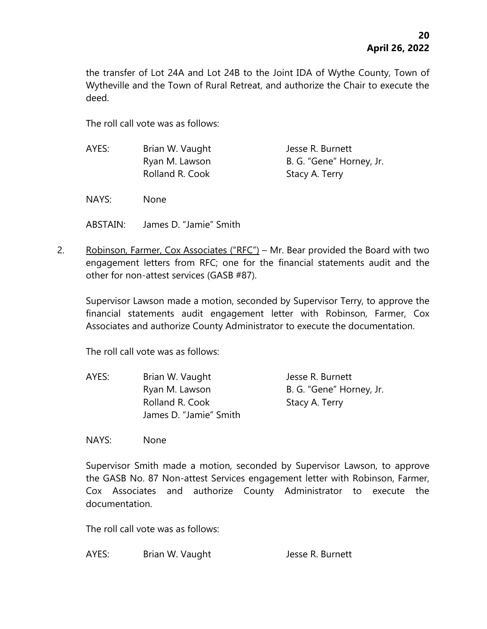the transfer of Lot 24A and Lot 24B to the Joint IDA of Wythe County, Town of Wytheville and the Town of Rural Retreat, and authorize the Chair to execute the deed.

The roll call vote was as follows:

| AYES: | Brian W. Vaught | Jesse R. Burnett         |
|-------|-----------------|--------------------------|
|       | Ryan M. Lawson  | B. G. "Gene" Horney, Jr. |
|       | Rolland R. Cook | Stacy A. Terry           |

NAYS: None

ABSTAIN: James D. "Jamie" Smith

2. Robinson, Farmer, Cox Associates ("RFC") – Mr. Bear provided the Board with two engagement letters from RFC; one for the financial statements audit and the other for non-attest services (GASB #87).

Supervisor Lawson made a motion, seconded by Supervisor Terry, to approve the financial statements audit engagement letter with Robinson, Farmer, Cox Associates and authorize County Administrator to execute the documentation.

The roll call vote was as follows:

AYES: Brian W. Vaught Jesse R. Burnett Ryan M. Lawson B. G. "Gene" Horney, Jr. Rolland R. Cook Stacy A. Terry James D. "Jamie" Smith

NAYS: None

Supervisor Smith made a motion, seconded by Supervisor Lawson, to approve the GASB No. 87 Non-attest Services engagement letter with Robinson, Farmer, Cox Associates and authorize County Administrator to execute the documentation.

The roll call vote was as follows:

AYES: Brian W. Vaught Jesse R. Burnett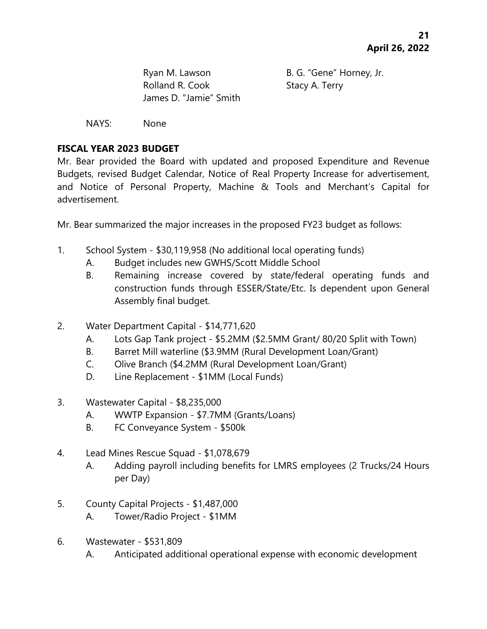Ryan M. Lawson B. G. "Gene" Horney, Jr. Rolland R. Cook Stacy A. Terry James D. "Jamie" Smith

NAYS: None

# **FISCAL YEAR 2023 BUDGET**

Mr. Bear provided the Board with updated and proposed Expenditure and Revenue Budgets, revised Budget Calendar, Notice of Real Property Increase for advertisement, and Notice of Personal Property, Machine & Tools and Merchant's Capital for advertisement.

Mr. Bear summarized the major increases in the proposed FY23 budget as follows:

- 1. School System \$30,119,958 (No additional local operating funds)
	- A. Budget includes new GWHS/Scott Middle School
	- B. Remaining increase covered by state/federal operating funds and construction funds through ESSER/State/Etc. Is dependent upon General Assembly final budget.
- 2. Water Department Capital \$14,771,620
	- A. Lots Gap Tank project \$5.2MM (\$2.5MM Grant/ 80/20 Split with Town)
	- B. Barret Mill waterline (\$3.9MM (Rural Development Loan/Grant)
	- C. Olive Branch (\$4.2MM (Rural Development Loan/Grant)
	- D. Line Replacement \$1MM (Local Funds)
- 3. Wastewater Capital \$8,235,000
	- A. WWTP Expansion \$7.7MM (Grants/Loans)
	- B. FC Conveyance System \$500k
- 4. Lead Mines Rescue Squad \$1,078,679
	- A. Adding payroll including benefits for LMRS employees (2 Trucks/24 Hours per Day)
- 5. County Capital Projects \$1,487,000
	- A. Tower/Radio Project \$1MM
- 6. Wastewater \$531,809
	- A. Anticipated additional operational expense with economic development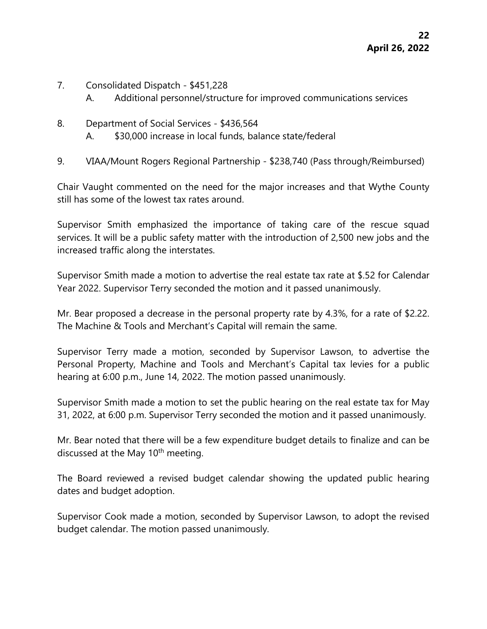- 7. Consolidated Dispatch \$451,228
	- A. Additional personnel/structure for improved communications services
- 8. Department of Social Services \$436,564
	- A. \$30,000 increase in local funds, balance state/federal
- 9. VIAA/Mount Rogers Regional Partnership \$238,740 (Pass through/Reimbursed)

Chair Vaught commented on the need for the major increases and that Wythe County still has some of the lowest tax rates around.

Supervisor Smith emphasized the importance of taking care of the rescue squad services. It will be a public safety matter with the introduction of 2,500 new jobs and the increased traffic along the interstates.

Supervisor Smith made a motion to advertise the real estate tax rate at \$.52 for Calendar Year 2022. Supervisor Terry seconded the motion and it passed unanimously.

Mr. Bear proposed a decrease in the personal property rate by 4.3%, for a rate of \$2.22. The Machine & Tools and Merchant's Capital will remain the same.

Supervisor Terry made a motion, seconded by Supervisor Lawson, to advertise the Personal Property, Machine and Tools and Merchant's Capital tax levies for a public hearing at 6:00 p.m., June 14, 2022. The motion passed unanimously.

Supervisor Smith made a motion to set the public hearing on the real estate tax for May 31, 2022, at 6:00 p.m. Supervisor Terry seconded the motion and it passed unanimously.

Mr. Bear noted that there will be a few expenditure budget details to finalize and can be discussed at the May 10<sup>th</sup> meeting.

The Board reviewed a revised budget calendar showing the updated public hearing dates and budget adoption.

Supervisor Cook made a motion, seconded by Supervisor Lawson, to adopt the revised budget calendar. The motion passed unanimously.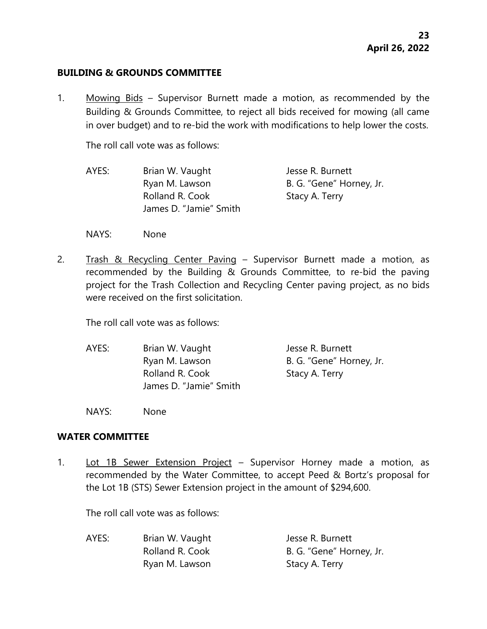#### **BUILDING & GROUNDS COMMITTEE**

1. Mowing Bids – Supervisor Burnett made a motion, as recommended by the Building & Grounds Committee, to reject all bids received for mowing (all came in over budget) and to re-bid the work with modifications to help lower the costs.

The roll call vote was as follows:

- AYES: Brian W. Vaught Jesse R. Burnett Ryan M. Lawson B. G. "Gene" Horney, Jr. Rolland R. Cook Stacy A. Terry James D. "Jamie" Smith
- NAYS: None
- 2. Trash & Recycling Center Paving Supervisor Burnett made a motion, as recommended by the Building & Grounds Committee, to re-bid the paving project for the Trash Collection and Recycling Center paving project, as no bids were received on the first solicitation.

The roll call vote was as follows:

AYES: Brian W. Vaught Jesse R. Burnett Ryan M. Lawson B. G. "Gene" Horney, Jr. Rolland R. Cook Stacy A. Terry James D. "Jamie" Smith

NAYS: None

#### **WATER COMMITTEE**

1. Lot 1B Sewer Extension Project – Supervisor Horney made a motion, as recommended by the Water Committee, to accept Peed & Bortz's proposal for the Lot 1B (STS) Sewer Extension project in the amount of \$294,600.

The roll call vote was as follows:

| AYES: | Brian W. Vaught | Jesse R. Burnett         |
|-------|-----------------|--------------------------|
|       | Rolland R. Cook | B. G. "Gene" Horney, Jr. |
|       | Ryan M. Lawson  | Stacy A. Terry           |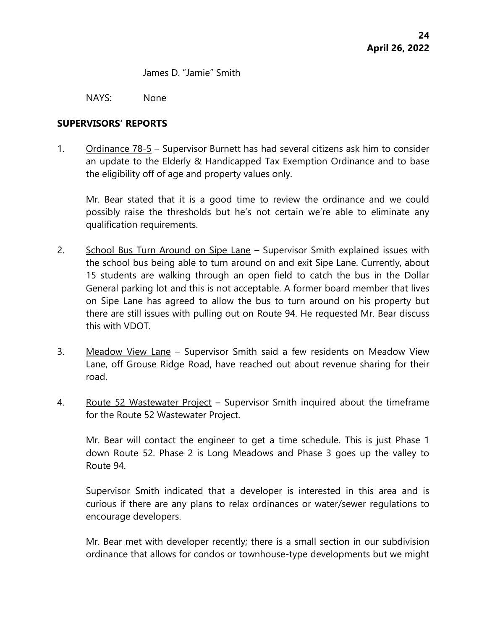James D. "Jamie" Smith

NAYS: None

#### **SUPERVISORS' REPORTS**

1. Ordinance 78-5 – Supervisor Burnett has had several citizens ask him to consider an update to the Elderly & Handicapped Tax Exemption Ordinance and to base the eligibility off of age and property values only.

Mr. Bear stated that it is a good time to review the ordinance and we could possibly raise the thresholds but he's not certain we're able to eliminate any qualification requirements.

- 2. School Bus Turn Around on Sipe Lane Supervisor Smith explained issues with the school bus being able to turn around on and exit Sipe Lane. Currently, about 15 students are walking through an open field to catch the bus in the Dollar General parking lot and this is not acceptable. A former board member that lives on Sipe Lane has agreed to allow the bus to turn around on his property but there are still issues with pulling out on Route 94. He requested Mr. Bear discuss this with VDOT.
- 3. Meadow View Lane Supervisor Smith said a few residents on Meadow View Lane, off Grouse Ridge Road, have reached out about revenue sharing for their road.
- 4. Route 52 Wastewater Project Supervisor Smith inquired about the timeframe for the Route 52 Wastewater Project.

Mr. Bear will contact the engineer to get a time schedule. This is just Phase 1 down Route 52. Phase 2 is Long Meadows and Phase 3 goes up the valley to Route 94.

Supervisor Smith indicated that a developer is interested in this area and is curious if there are any plans to relax ordinances or water/sewer regulations to encourage developers.

Mr. Bear met with developer recently; there is a small section in our subdivision ordinance that allows for condos or townhouse-type developments but we might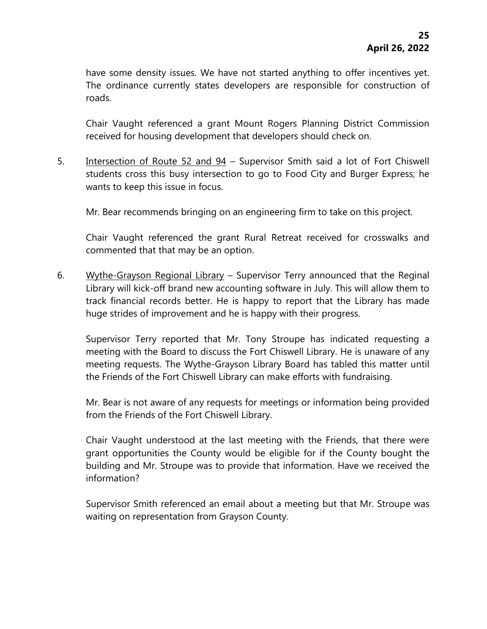have some density issues. We have not started anything to offer incentives yet. The ordinance currently states developers are responsible for construction of roads.

Chair Vaught referenced a grant Mount Rogers Planning District Commission received for housing development that developers should check on.

5. Intersection of Route 52 and 94 – Supervisor Smith said a lot of Fort Chiswell students cross this busy intersection to go to Food City and Burger Express; he wants to keep this issue in focus.

Mr. Bear recommends bringing on an engineering firm to take on this project.

Chair Vaught referenced the grant Rural Retreat received for crosswalks and commented that that may be an option.

6. Wythe-Grayson Regional Library – Supervisor Terry announced that the Reginal Library will kick-off brand new accounting software in July. This will allow them to track financial records better. He is happy to report that the Library has made huge strides of improvement and he is happy with their progress.

Supervisor Terry reported that Mr. Tony Stroupe has indicated requesting a meeting with the Board to discuss the Fort Chiswell Library. He is unaware of any meeting requests. The Wythe-Grayson Library Board has tabled this matter until the Friends of the Fort Chiswell Library can make efforts with fundraising.

Mr. Bear is not aware of any requests for meetings or information being provided from the Friends of the Fort Chiswell Library.

Chair Vaught understood at the last meeting with the Friends, that there were grant opportunities the County would be eligible for if the County bought the building and Mr. Stroupe was to provide that information. Have we received the information?

Supervisor Smith referenced an email about a meeting but that Mr. Stroupe was waiting on representation from Grayson County.